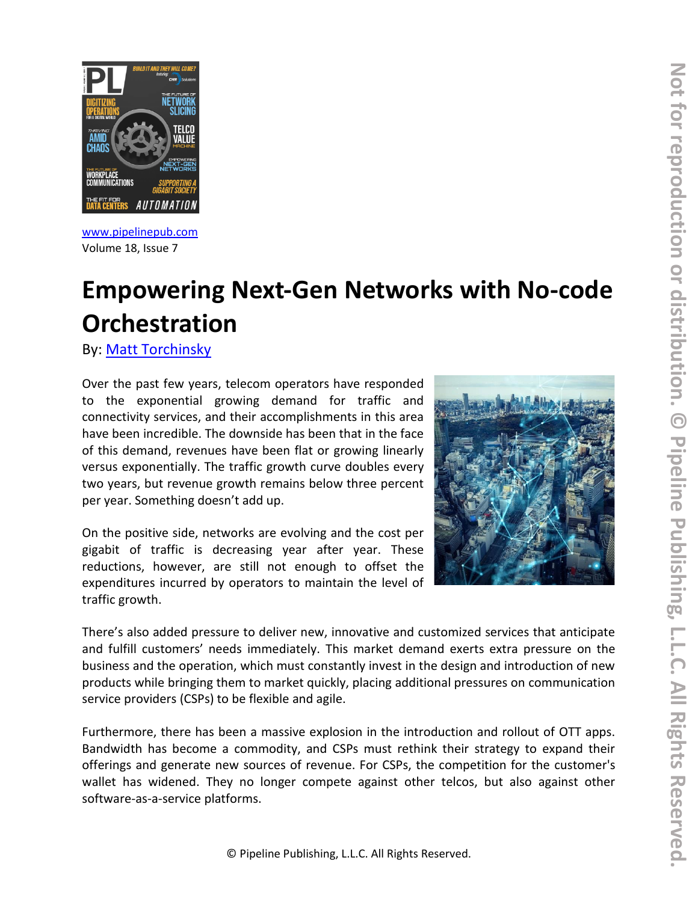

[www.pipelinepub.com](https://www.pipelinepub.com/260) Volume 18, Issue 7

# **Empowering Next-Gen Networks with No-code Orchestration**

By: [Matt Torchinsky](https://www.pipelinepub.com/contributors#Matt-Torchinsky)

Over the past few years, telecom operators have responded to the exponential growing demand for traffic and connectivity services, and their accomplishments in this area have been incredible. The downside has been that in the face of this demand, revenues have been flat or growing linearly versus exponentially. The traffic growth curve doubles every two years, but revenue growth remains below three percent per year. Something doesn't add up.

On the positive side, networks are evolving and the cost per gigabit of traffic is decreasing year after year. These reductions, however, are still not enough to offset the expenditures incurred by operators to maintain the level of traffic growth.



There's also added pressure to deliver new, innovative and customized services that anticipate and fulfill customers' needs immediately. This market demand exerts extra pressure on the business and the operation, which must constantly invest in the design and introduction of new products while bringing them to market quickly, placing additional pressures on communication service providers (CSPs) to be flexible and agile.

Furthermore, there has been a massive explosion in the introduction and rollout of OTT apps. Bandwidth has become a commodity, and CSPs must rethink their strategy to expand their offerings and generate new sources of revenue. For CSPs, the competition for the customer's wallet has widened. They no longer compete against other telcos, but also against other software-as-a-service platforms.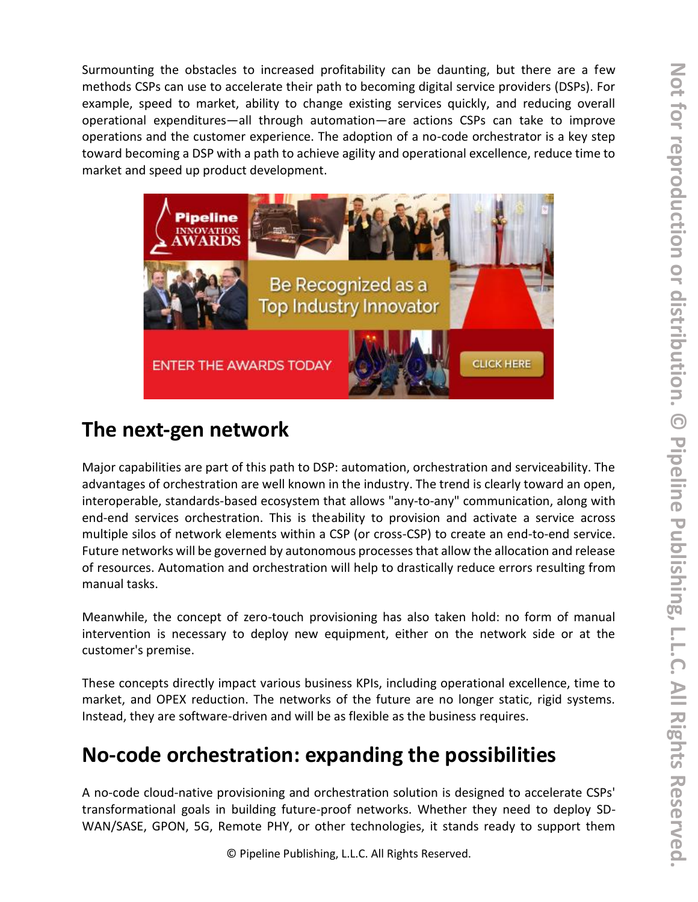Surmounting the obstacles to increased profitability can be daunting, but there are a few methods CSPs can use to accelerate their path to becoming digital service providers (DSPs). For example, speed to market, ability to change existing services quickly, and reducing overall operational expenditures—all through automation—are actions CSPs can take to improve operations and the customer experience. The adoption of a no-code orchestrator is a key step toward becoming a DSP with a path to achieve agility and operational excellence, reduce time to market and speed up product development.



# **The next-gen network**

Major capabilities are part of this path to DSP: automation, orchestration and serviceability. The advantages of orchestration are well known in the industry. The trend is clearly toward an open, interoperable, standards-based ecosystem that allows "any-to-any" communication, along with end-end services orchestration. This is theability to provision and activate a service across multiple silos of network elements within a CSP (or cross-CSP) to create an end-to-end service. Future networks will be governed by autonomous processes that allow the allocation and release of resources. Automation and orchestration will help to drastically reduce errors resulting from manual tasks.

Meanwhile, the concept of zero-touch provisioning has also taken hold: no form of manual intervention is necessary to deploy new equipment, either on the network side or at the customer's premise.

These concepts directly impact various business KPIs, including operational excellence, time to market, and OPEX reduction. The networks of the future are no longer static, rigid systems. Instead, they are software-driven and will be as flexible as the business requires.

## **No-code orchestration: expanding the possibilities**

A no-code cloud-native provisioning and orchestration solution is designed to accelerate CSPs' transformational goals in building future-proof networks. Whether they need to deploy SD-WAN/SASE, GPON, 5G, Remote PHY, or other technologies, it stands ready to support them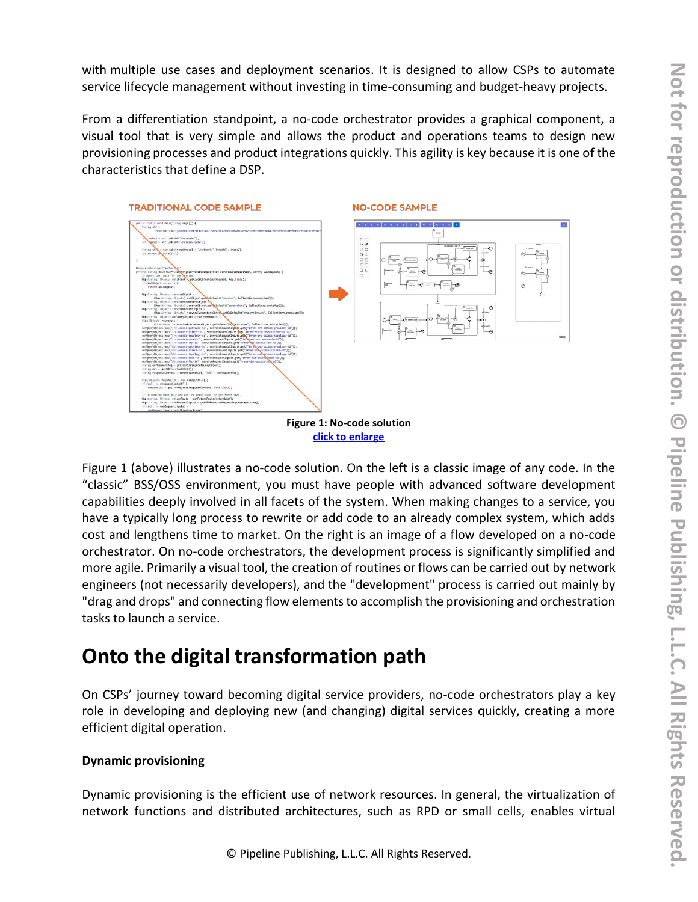with multiple use cases and deployment scenarios. It is designed to allow CSPs to automate service lifecycle management without investing in time-consuming and budget-heavy projects.

From a differentiation standpoint, a no-code orchestrator provides a graphical component, a visual tool that is very simple and allows the product and operations teams to design new provisioning processes and product integrations quickly. This agility is key because it is one of the characteristics that define a DSP.



**click to [enlarge](https://media.pipeline.pubspoke.com/files/article/2729/Figure1.png)**

Figure 1 (above) illustrates a no-code solution. On the left is a classic image of any code. In the "classic" BSS/OSS environment, you must have people with advanced software development capabilities deeply involved in all facets of the system. When making changes to a service, you have a typically long process to rewrite or add code to an already complex system, which adds cost and lengthens time to market. On the right is an image of a flow developed on a no-code orchestrator. On no-code orchestrators, the development process is significantly simplified and more agile. Primarily a visual tool, the creation of routines or flows can be carried out by network engineers (not necessarily developers), and the "development" process is carried out mainly by "drag and drops" and connecting flow elements to accomplish the provisioning and orchestration tasks to launch a service.

### **Onto the digital transformation path**

On CSPs' journey toward becoming digital service providers, no-code orchestrators play a key role in developing and deploying new (and changing) digital services quickly, creating a more efficient digital operation.

#### **Dynamic provisioning**

Dynamic provisioning is the efficient use of network resources. In general, the virtualization of network functions and distributed architectures, such as RPD or small cells, enables virtual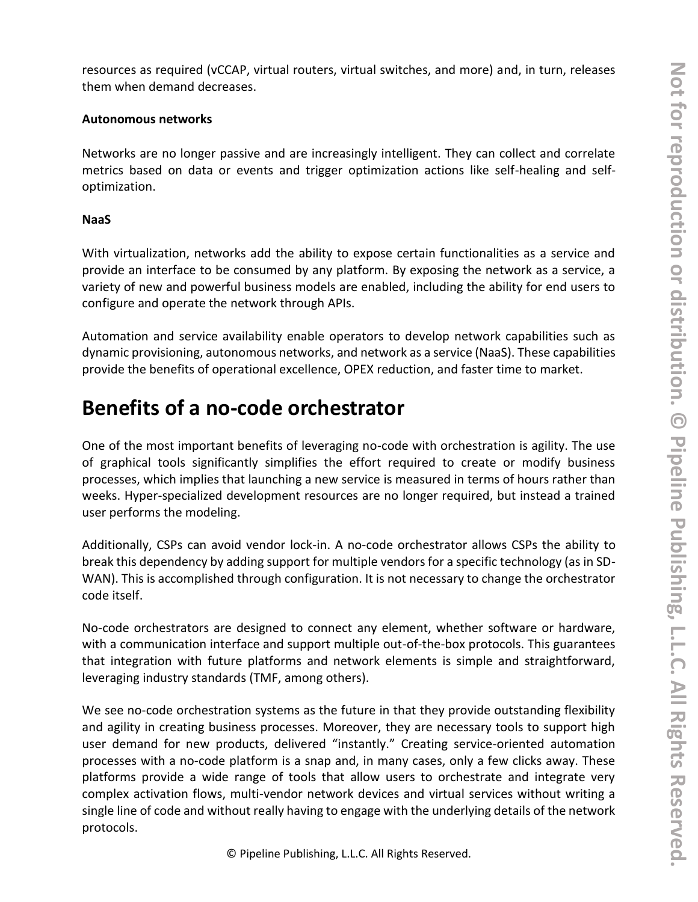resources as required (vCCAP, virtual routers, virtual switches, and more) and, in turn, releases them when demand decreases.

#### **Autonomous networks**

Networks are no longer passive and are increasingly intelligent. They can collect and correlate metrics based on data or events and trigger optimization actions like self-healing and selfoptimization.

#### **NaaS**

With virtualization, networks add the ability to expose certain functionalities as a service and provide an interface to be consumed by any platform. By exposing the network as a service, a variety of new and powerful business models are enabled, including the ability for end users to configure and operate the network through APIs.

Automation and service availability enable operators to develop network capabilities such as dynamic provisioning, autonomous networks, and network as a service (NaaS). These capabilities provide the benefits of operational excellence, OPEX reduction, and faster time to market.

### **Benefits of a no-code orchestrator**

One of the most important benefits of leveraging no-code with orchestration is agility. The use of graphical tools significantly simplifies the effort required to create or modify business processes, which implies that launching a new service is measured in terms of hours rather than weeks. Hyper-specialized development resources are no longer required, but instead a trained user performs the modeling.

Additionally, CSPs can avoid vendor lock-in. A no-code orchestrator allows CSPs the ability to break this dependency by adding support for multiple vendors for a specific technology (as in SD-WAN). This is accomplished through configuration. It is not necessary to change the orchestrator code itself.

No-code orchestrators are designed to connect any element, whether software or hardware, with a communication interface and support multiple out-of-the-box protocols. This guarantees that integration with future platforms and network elements is simple and straightforward, leveraging industry standards (TMF, among others).

We see no-code orchestration systems as the future in that they provide outstanding flexibility and agility in creating business processes. Moreover, they are necessary tools to support high user demand for new products, delivered "instantly." Creating service-oriented automation processes with a no-code platform is a snap and, in many cases, only a few clicks away. These platforms provide a wide range of tools that allow users to orchestrate and integrate very complex activation flows, multi-vendor network devices and virtual services without writing a single line of code and without really having to engage with the underlying details of the network protocols.